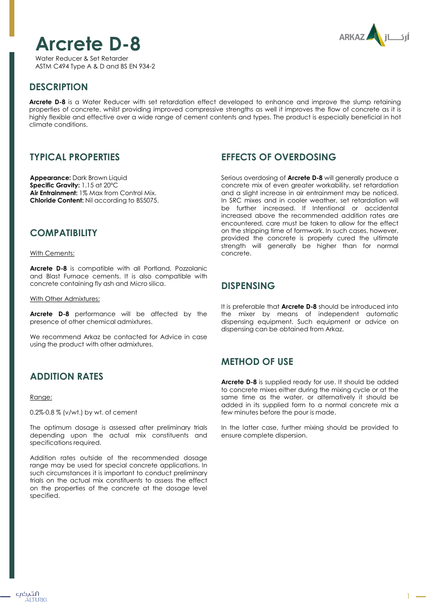# **Arcrete D-8**

ARKAZ

Water Reducer & Set Retarder ASTM C494 Type A & D and BS EN 934-2

# **DESCRIPTION**

**Arcrete D-8** is a Water Reducer with set retardation effect developed to enhance and improve the slump retaining properties of concrete, whilst providing improved compressive strengths as well it improves the flow of concrete as it is highly flexible and effective over a wide range of cement contents and types. The product is especially beneficial in hot climate conditions.

# **TYPICAL PROPERTIES**

**Appearance:** Dark Brown Liquid **Specific Gravity:** 1.15 at 20ºC **Air Entrainment:** 1% Max from Control Mix. **Chloride Content:** Nil according to BS5075.

# **COMPATIBILITY**

With Cements:

**Arcrete D-8** is compatible with all Portland, Pozzolanic and Blast Furnace cements. It is also compatible with concrete containing fly ash and Micro silica.

With Other Admixtures:

**Arcrete D-8** performance will be affected by the presence of other chemical admixtures.

We recommend Arkaz be contacted for Advice in case using the product with other admixtures.

# **ADDITION RATES**

#### Range:

0.2%-0.8 % (v/wt.) by wt. of cement

The optimum dosage is assessed after preliminary trials depending upon the actual mix constituents and specifications required.

Addition rates outside of the recommended dosage range may be used for special concrete applications. In such circumstances it is important to conduct preliminary trials on the actual mix constituents to assess the effect on the properties of the concrete at the dosage level specified.

# **EFFECTS OF OVERDOSING**

Serious overdosing of **Arcrete D-8** will generally produce a concrete mix of even greater workability, set retardation and a slight increase in air entrainment may be noticed. In SRC mixes and in cooler weather, set retardation will be further increased. If Intentional or accidental increased above the recommended addition rates are encountered, care must be taken to allow for the effect on the stripping time of formwork. In such cases, however, provided the concrete is properly cured the ultimate strength will generally be higher than for normal concrete.

## **DISPENSING**

It is preferable that **Arcrete D-8** should be introduced into the mixer by means of independent automatic dispensing equipment. Such equipment or advice on dispensing can be obtained from Arkaz.

# **METHOD OF USE**

**Arcrete D-8** is supplied ready for use. It should be added to concrete mixes either during the mixing cycle or at the same time as the water, or alternatively it should be added in its supplied form to a normal concrete mix a few minutes before the pour is made.

In the latter case, further mixing should be provided to ensure complete dispersion.